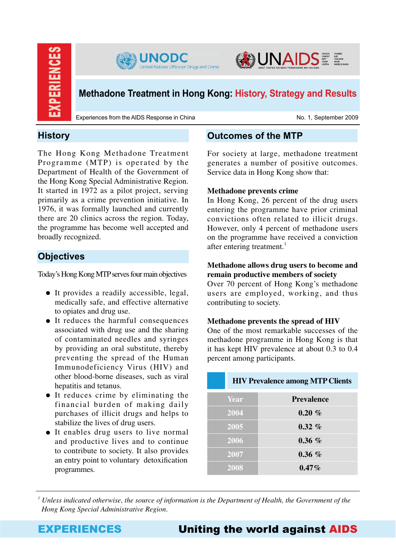





# **Methadone Treatment in Hong Kong: History, Strategy and Results**

Experiences from the AIDS Response in China No. 1, September 2009

# **History**

The Hong Kong Methadone Treatment Programme (MTP) is operated by the Department of Health of the Government of the Hong Kong Special Administrative Region. It started in 1972 as a pilot project, serving primarily as a crime prevention initiative. In 1976, it was formally launched and currently there are 20 clinics across the region. Today, the programme has become well accepted and broadly recognized.

# **Objectives**

Today's Hong Kong MTP serves four main objectives

- It provides a readily accessible, legal, medically safe, and effective alternative to opiates and drug use.
- It reduces the harmful consequences associated with drug use and the sharing of contaminated needles and syringes by providing an oral substitute, thereby preventing the spread of the Human Immunodeficiency Virus (HIV) and other blood-borne diseases, such as viral hepatitis and tetanus.
- It reduces crime by eliminating the financial burden of making daily purchases of illicit drugs and helps to stabilize the lives of drug users.
- It enables drug users to live normal and productive lives and to continue to contribute to society. It also provides an entry point to voluntary detoxification programmes.

# **Outcomes of the MTP**

For society at large, methadone treatment generates a number of positive outcomes. Service data in Hong Kong show that:

## **Methadone prevents crime**

In Hong Kong, 26 percent of the drug users entering the programme have prior criminal convictions often related to illicit drugs. However, only 4 percent of methadone users on the programme have received a conviction after entering treatment. 1

## **Methadone allows drug users to become and remain productive members of society**

Over 70 percent of Hong Kong's methadone users are employed, working, and thus contributing to society.

## **Methadone prevents the spread of HIV**

One of the most remarkable successes of the methadone programme in Hong Kong is that it has kept HIV prevalence at about 0.3 to 0.4 percent among participants.

| <b>HIV Prevalence among MTP Clients</b> |                   |  |
|-----------------------------------------|-------------------|--|
| Year                                    | <b>Prevalence</b> |  |
| 2004                                    | $0.20 \%$         |  |
| 2005                                    | $0.32\%$          |  |
| 2006                                    | $0.36\%$          |  |
| 2007                                    | $0.36\%$          |  |
| 2008                                    | $0.47\%$          |  |

*1 Unless indicated otherwise, the source of information is the Department of Health, the Government of the Hong Kong Special Administrative Region.* 

# EXPERIENCES Uniting the world against AIDS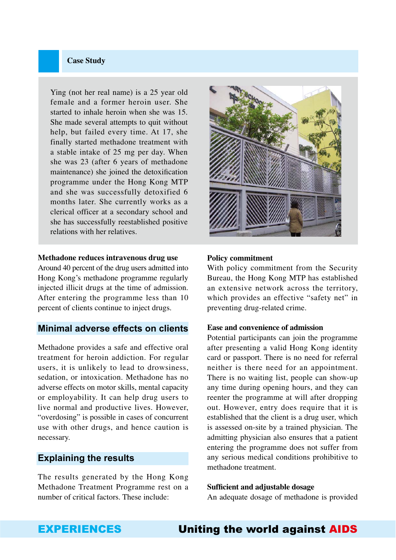## **Case Study**

Ying (not her real name) is a 25 year old female and a former heroin user. She started to inhale heroin when she was 15. She made several attempts to quit without help, but failed every time. At 17, she finally started methadone treatment with a stable intake of 25 mg per day. When she was 23 (after 6 years of methadone maintenance) she joined the detoxification programme under the Hong Kong MTP and she was successfully detoxified 6 months later. She currently works as a clerical officer at a secondary school and she has successfully reestablished positive relations with her relatives.

### **Methadone reduces intravenous drug use**

Around 40 percent of the drug users admitted into Hong Kong's methadone programme regularly injected illicit drugs at the time of admission. After entering the programme less than 10 percent of clients continue to inject drugs.

## **Minimal adverse effects on clients**

Methadone provides a safe and effective oral treatment for heroin addiction. For regular users, it is unlikely to lead to drowsiness, sedation, or intoxication. Methadone has no adverse effects on motor skills, mental capacity or employability. It can help drug users to live normal and productive lives. However, "overdosing" is possible in cases of concurrent use with other drugs, and hence caution is necessary.

## **Explaining the results**

The results generated by the Hong Kong Methadone Treatment Programme rest on a number of critical factors. These include:



### **Policy commitment**

With policy commitment from the Security Bureau, the Hong Kong MTP has established an extensive network across the territory, which provides an effective "safety net" in preventing drug-related crime.

#### **Ease and convenience of admission**

Potential participants can join the programme after presenting a valid Hong Kong identity card or passport. There is no need for referral neither is there need for an appointment. There is no waiting list, people can show-up any time during opening hours, and they can reenter the programme at will after dropping out. However, entry does require that it is established that the client is a drug user, which is assessed on-site by a trained physician. The admitting physician also ensures that a patient entering the programme does not suffer from any serious medical conditions prohibitive to methadone treatment.

### **Sufficient and adjustable dosage**

An adequate dosage of methadone is provided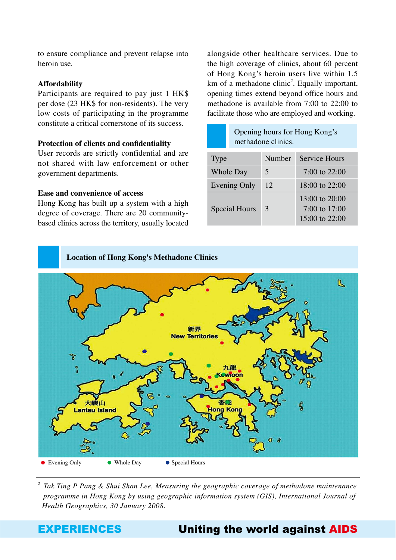to ensure compliance and prevent relapse into heroin use.

### **Affordability**

Participants are required to pay just 1 HK\$ per dose (23 HK\$ for non-residents). The very low costs of participating in the programme constitute a critical cornerstone of its success.

#### **Protection of clients and confidentiality**

User records are strictly confidential and are not shared with law enforcement or other government departments.

#### **Ease and convenience of access**

Hong Kong has built up a system with a high degree of coverage. There are 20 communitybased clinics across the territory, usually located alongside other healthcare services. Due to the high coverage of clinics, about 60 percent of Hong Kong's heroin users live within 1.5 km of a methadone clinic<sup>2</sup>. Equally important, opening times extend beyond office hours and methadone is available from 7:00 to 22:00 to facilitate those who are employed and working.

|                      | Opening hours for Hong Kong's<br>methadone clinics. |        |                                                     |
|----------------------|-----------------------------------------------------|--------|-----------------------------------------------------|
| Type                 |                                                     | Number | Service Hours                                       |
| <b>Whole Day</b>     |                                                     | 5      | $7:00$ to $22:00$                                   |
| <b>Evening Only</b>  |                                                     | 12     | $18:00$ to $22:00$                                  |
| <b>Special Hours</b> |                                                     | 3      | 13:00 to 20:00<br>7:00 to 17:00<br>15:00 to $22:00$ |





*2 Tak Ting P Pang & Shui Shan Lee, Measuring the geographic coverage of methadone maintenance programme in Hong Kong by using geographic information system (GIS), International Journal of Health Geographics, 30 January 2008.*

# EXPERIENCES Uniting the world against AIDS